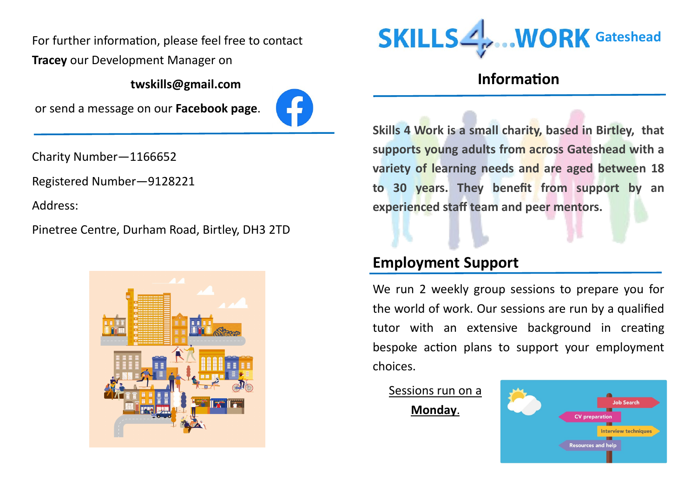**Tracey** our Development Manager on

**twskills@gmail.com**

or send a message on our **Facebook page**.



Charity Number—1166652

Registered Number—9128221

Address:

Pinetree Centre, Durham Road, Birtley, DH3 2TD





# **Information**

**Skills 4 Work is a small charity, based in Birtley, that supports young adults from across Gateshead with a variety of learning needs and are aged between 18 to 30 years. They benefit from support by an experienced staff team and peer mentors.**

# **Employment Support**

We run 2 weekly group sessions to prepare you for the world of work. Our sessions are run by a qualified tutor with an extensive background in creating bespoke action plans to support your employment choices.

Sessions run on a **Monday**.